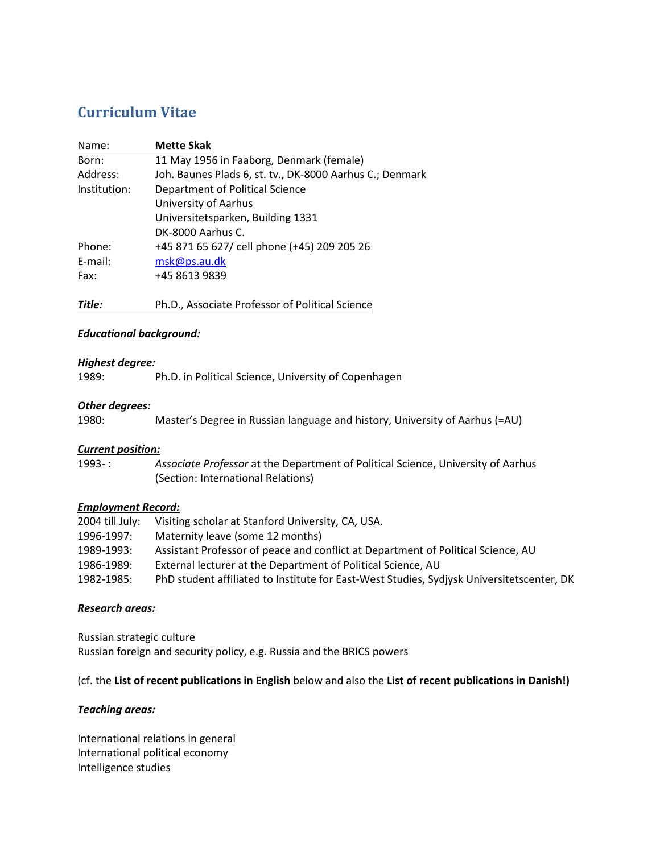# **Curriculum Vitae**

| Name:        | <b>Mette Skak</b>                                        |
|--------------|----------------------------------------------------------|
| Born:        | 11 May 1956 in Faaborg, Denmark (female)                 |
| Address:     | Joh. Baunes Plads 6, st. tv., DK-8000 Aarhus C.; Denmark |
| Institution: | Department of Political Science                          |
|              | <b>University of Aarhus</b>                              |
|              | Universitetsparken, Building 1331                        |
|              | DK-8000 Aarhus C.                                        |
| Phone:       | +45 871 65 627/ cell phone (+45) 209 205 26              |
| E-mail:      | msk@ps.au.dk                                             |
| Fax:         | +45 8613 9839                                            |
|              |                                                          |

*Title:* Ph.D., Associate Professor of Political Science

# *Educational background:*

# *Highest degree:*

1989: Ph.D. in Political Science, University of Copenhagen

# *Other degrees:*

| Master's Degree in Russian language and history, University of Aarhus (=AU) | 1980: |  |  |  |  |  |  |  |
|-----------------------------------------------------------------------------|-------|--|--|--|--|--|--|--|
|-----------------------------------------------------------------------------|-------|--|--|--|--|--|--|--|

# *Current position:*

| $1993-$ : | Associate Professor at the Department of Political Science, University of Aarhus |
|-----------|----------------------------------------------------------------------------------|
|           | (Section: International Relations)                                               |

# *Employment Record:*

| 2004 till July: | Visiting scholar at Stanford University, CA, USA.                                         |
|-----------------|-------------------------------------------------------------------------------------------|
| 1996-1997:      | Maternity leave (some 12 months)                                                          |
| 1989-1993:      | Assistant Professor of peace and conflict at Department of Political Science, AU          |
| 1986-1989:      | External lecturer at the Department of Political Science, AU                              |
| 1982-1985:      | PhD student affiliated to Institute for East-West Studies, Sydjysk Universitetscenter, DK |

# *Research areas:*

Russian strategic culture Russian foreign and security policy, e.g. Russia and the BRICS powers

# (cf. the **List of recent publications in English** below and also the **List of recent publications in Danish!)**

# *Teaching areas:*

International relations in general International political economy Intelligence studies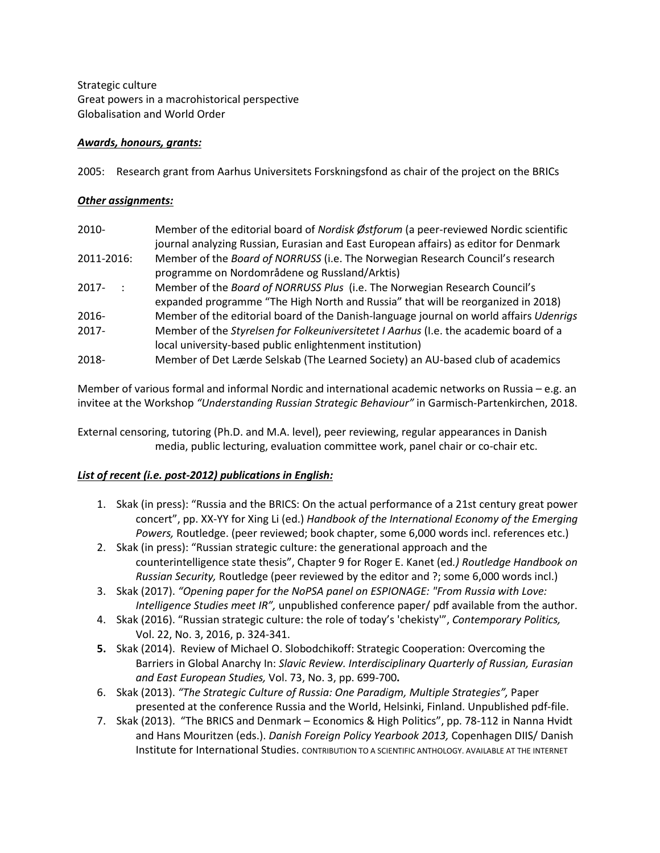Strategic culture Great powers in a macrohistorical perspective Globalisation and World Order

# *Awards, honours, grants:*

2005: Research grant from Aarhus Universitets Forskningsfond as chair of the project on the BRICs

# *Other assignments:*

| $2010 -$                 | Member of the editorial board of Nordisk Østforum (a peer-reviewed Nordic scientific   |
|--------------------------|----------------------------------------------------------------------------------------|
|                          | journal analyzing Russian, Eurasian and East European affairs) as editor for Denmark   |
| 2011-2016:               | Member of the Board of NORRUSS (i.e. The Norwegian Research Council's research         |
|                          | programme on Nordområdene og Russland/Arktis)                                          |
| $2017 -$<br>$\mathbf{L}$ | Member of the Board of NORRUSS Plus (i.e. The Norwegian Research Council's             |
|                          | expanded programme "The High North and Russia" that will be reorganized in 2018)       |
| $2016 -$                 | Member of the editorial board of the Danish-language journal on world affairs Udenrigs |
| $2017 -$                 | Member of the Styrelsen for Folkeuniversitetet I Aarhus (I.e. the academic board of a  |
|                          | local university-based public enlightenment institution)                               |
| 2018-                    | Member of Det Lærde Selskab (The Learned Society) an AU-based club of academics        |

Member of various formal and informal Nordic and international academic networks on Russia – e.g. an invitee at the Workshop *"Understanding Russian Strategic Behaviour"* in Garmisch-Partenkirchen, 2018.

External censoring, tutoring (Ph.D. and M.A. level), peer reviewing, regular appearances in Danish media, public lecturing, evaluation committee work, panel chair or co-chair etc.

# *List of recent (i.e. post-2012) publications in English:*

- 1. Skak (in press): "Russia and the BRICS: On the actual performance of a 21st century great power concert", pp. XX-YY for Xing Li (ed.) *Handbook of the International Economy of the Emerging Powers,* Routledge. (peer reviewed; book chapter, some 6,000 words incl. references etc.)
- 2. Skak (in press): "Russian strategic culture: the generational approach and the counterintelligence state thesis", Chapter 9 for Roger E. Kanet (ed*.) Routledge Handbook on Russian Security,* Routledge (peer reviewed by the editor and ?; some 6,000 words incl.)
- 3. Skak (2017). *"Opening paper for the NoPSA panel on ESPIONAGE: "From Russia with Love: Intelligence Studies meet IR",* unpublished conference paper/ pdf available from the author.
- 4. Skak (2016). "Russian strategic culture: the role of today's 'chekisty'", *Contemporary Politics,* Vol. 22, No. 3, 2016, p. 324-341.
- **5.** Skak (2014). Review of Michael O. Slobodchikoff: Strategic Cooperation: Overcoming the Barriers in Global Anarchy In: *Slavic Review. Interdisciplinary Quarterly of Russian, Eurasian and East European Studies,* Vol. 73, No. 3, pp. 699-700**.**
- 6. Skak (2013). *"The Strategic Culture of Russia: One Paradigm, Multiple Strategies",* Paper presented at the conference Russia and the World, Helsinki, Finland. Unpublished pdf-file.
- 7. Skak (2013). "The BRICS and Denmark Economics & High Politics", pp. 78-112 in Nanna Hvidt and Hans Mouritzen (eds.). *Danish Foreign Policy Yearbook 2013,* Copenhagen DIIS/ Danish Institute for International Studies. CONTRIBUTION TO A SCIENTIFIC ANTHOLOGY. AVAILABLE AT THE INTERNET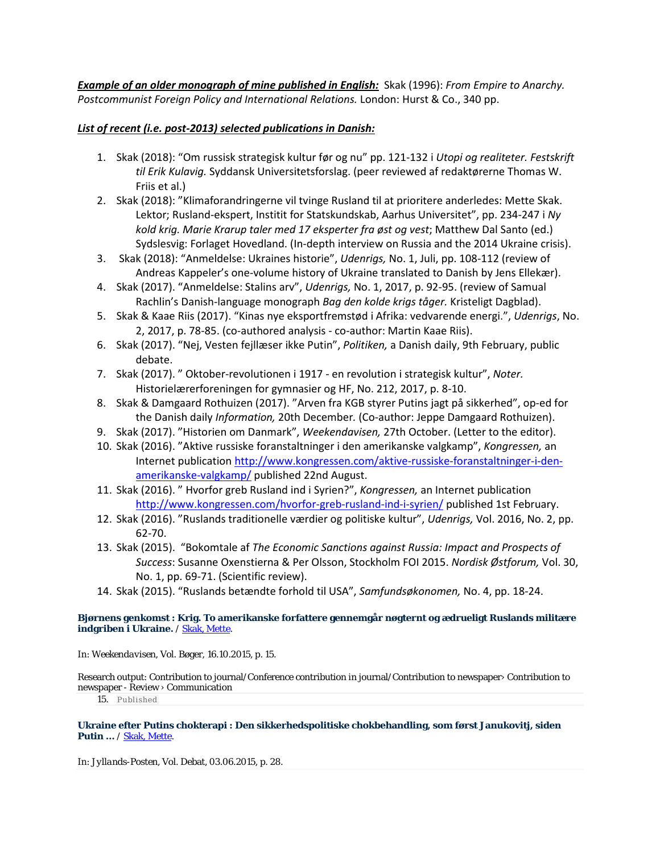*Example of an older monograph of mine published in English:* Skak (1996): *From Empire to Anarchy. Postcommunist Foreign Policy and International Relations.* London: Hurst & Co., 340 pp.

# *List of recent (i.e. post-2013) selected publications in Danish:*

- 1. Skak (2018): "Om russisk strategisk kultur før og nu" pp. 121-132 i *Utopi og realiteter. Festskrift til Erik Kulavig.* Syddansk Universitetsforslag. (peer reviewed af redaktørerne Thomas W. Friis et al.)
- 2. Skak (2018): "Klimaforandringerne vil tvinge Rusland til at prioritere anderledes: Mette Skak. Lektor; Rusland-ekspert, Institit for Statskundskab, Aarhus Universitet", pp. 234-247 i *Ny kold krig. Marie Krarup taler med 17 eksperter fra øst og vest*; Matthew Dal Santo (ed.) Sydslesvig: Forlaget Hovedland. (In-depth interview on Russia and the 2014 Ukraine crisis).
- 3. Skak (2018): "Anmeldelse: Ukraines historie", *Udenrigs,* No. 1, Juli, pp. 108-112 (review of Andreas Kappeler's one-volume history of Ukraine translated to Danish by Jens Ellekær).
- 4. Skak (2017). "Anmeldelse: Stalins arv", *Udenrigs,* No. 1, 2017, p. 92-95. (review of Samual Rachlin's Danish-language monograph *Bag den kolde krigs tåger.* Kristeligt Dagblad).
- 5. Skak & Kaae Riis (2017). "Kinas nye eksportfremstød i Afrika: vedvarende energi.", *Udenrigs*, No. 2, 2017, p. 78-85. (co-authored analysis - co-author: Martin Kaae Riis).
- 6. Skak (2017). "Nej, Vesten fejllæser ikke Putin", *Politiken,* a Danish daily, 9th February, public debate.
- 7. Skak (2017). " Oktober-revolutionen i 1917 en revolution i strategisk kultur", *Noter.* Historielærerforeningen for gymnasier og HF, No. 212, 2017, p. 8-10.
- 8. Skak & Damgaard Rothuizen (2017). "Arven fra KGB styrer Putins jagt på sikkerhed", op-ed for the Danish daily *Information,* 20th December*.* (Co-author: Jeppe Damgaard Rothuizen).
- 9. Skak (2017). "Historien om Danmark", *Weekendavisen,* 27th October. (Letter to the editor).
- 10. Skak (2016). "Aktive russiske foranstaltninger i den amerikanske valgkamp", *Kongressen,* an Internet publicatio[n http://www.kongressen.com/aktive-russiske-foranstaltninger-i-den](http://www.kongressen.com/aktive-russiske-foranstaltninger-i-den-amerikanske-valgkamp/)[amerikanske-valgkamp/](http://www.kongressen.com/aktive-russiske-foranstaltninger-i-den-amerikanske-valgkamp/) published 22nd August.
- 11. Skak (2016). " Hvorfor greb Rusland ind i Syrien?", *Kongressen,* an Internet publication <http://www.kongressen.com/hvorfor-greb-rusland-ind-i-syrien/> published 1st February.
- 12. Skak (2016). "Ruslands traditionelle værdier og politiske kultur", *Udenrigs,* Vol. 2016, No. 2, pp. 62-70.
- 13. Skak (2015). "Bokomtale af *The Economic Sanctions against Russia: Impact and Prospects of Success*: Susanne Oxenstierna & Per Olsson, Stockholm FOI 2015. *Nordisk Østforum,* Vol. 30, No. 1, pp. 69-71. (Scientific review).
- 14. Skak (2015). "Ruslands betændte forhold til USA", *Samfundsøkonomen,* No. 4, pp. 18-24.

### **[Bjørnens genkomst : Krig. To amerikanske forfattere gennemgår nøgternt og ædrueligt Ruslands militære](http://pure.au.dk/portal/en/persons/mette-skak(11428a4d-b0e8-4893-b373-7a199ef99d4d)/publications/bjoernens-genkomst(2c64a284-7171-441e-9efd-4196c55876ea).html)  [indgriben i Ukraine.](http://pure.au.dk/portal/en/persons/mette-skak(11428a4d-b0e8-4893-b373-7a199ef99d4d)/publications/bjoernens-genkomst(2c64a284-7171-441e-9efd-4196c55876ea).html)** / [Skak, Mette.](http://pure.au.dk/portal/en/persons/mette-skak(11428a4d-b0e8-4893-b373-7a199ef99d4d).html)

In: *Weekendavisen,* Vol. Bøger, 16.10.2015, p. 15.

Research output: Contribution to journal/Conference contribution in journal/Contribution to newspaper› Contribution to newspaper - Review › Communication

15. Published

**[Ukraine efter Putins chokterapi : Den sikkerhedspolitiske chokbehandling, som først Janukovitj, siden](http://pure.au.dk/portal/en/persons/mette-skak(11428a4d-b0e8-4893-b373-7a199ef99d4d)/publications/ukraine-efter-putins-chokterapi(a67b823f-9edd-430a-ae39-8b13edc461e5).html)  [Putin ...](http://pure.au.dk/portal/en/persons/mette-skak(11428a4d-b0e8-4893-b373-7a199ef99d4d)/publications/ukraine-efter-putins-chokterapi(a67b823f-9edd-430a-ae39-8b13edc461e5).html)** [/ Skak, Mette.](http://pure.au.dk/portal/en/persons/mette-skak(11428a4d-b0e8-4893-b373-7a199ef99d4d).html)

In: *Jyllands-Posten,* Vol. Debat, 03.06.2015, p. 28.